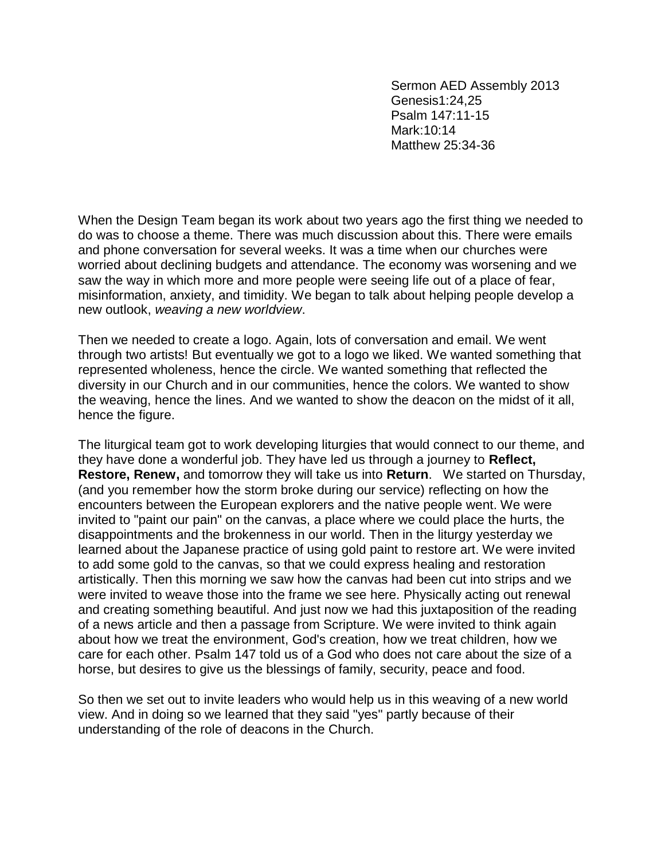Sermon AED Assembly 2013 Genesis1:24,25 Psalm 147:11-15 Mark:10:14 Matthew 25:34-36

When the Design Team began its work about two years ago the first thing we needed to do was to choose a theme. There was much discussion about this. There were emails and phone conversation for several weeks. It was a time when our churches were worried about declining budgets and attendance. The economy was worsening and we saw the way in which more and more people were seeing life out of a place of fear, misinformation, anxiety, and timidity. We began to talk about helping people develop a new outlook, *weaving a new worldview*.

Then we needed to create a logo. Again, lots of conversation and email. We went through two artists! But eventually we got to a logo we liked. We wanted something that represented wholeness, hence the circle. We wanted something that reflected the diversity in our Church and in our communities, hence the colors. We wanted to show the weaving, hence the lines. And we wanted to show the deacon on the midst of it all, hence the figure.

The liturgical team got to work developing liturgies that would connect to our theme, and they have done a wonderful job. They have led us through a journey to **Reflect, Restore, Renew,** and tomorrow they will take us into **Return**. We started on Thursday, (and you remember how the storm broke during our service) reflecting on how the encounters between the European explorers and the native people went. We were invited to "paint our pain" on the canvas, a place where we could place the hurts, the disappointments and the brokenness in our world. Then in the liturgy yesterday we learned about the Japanese practice of using gold paint to restore art. We were invited to add some gold to the canvas, so that we could express healing and restoration artistically. Then this morning we saw how the canvas had been cut into strips and we were invited to weave those into the frame we see here. Physically acting out renewal and creating something beautiful. And just now we had this juxtaposition of the reading of a news article and then a passage from Scripture. We were invited to think again about how we treat the environment, God's creation, how we treat children, how we care for each other. Psalm 147 told us of a God who does not care about the size of a horse, but desires to give us the blessings of family, security, peace and food.

So then we set out to invite leaders who would help us in this weaving of a new world view. And in doing so we learned that they said "yes" partly because of their understanding of the role of deacons in the Church.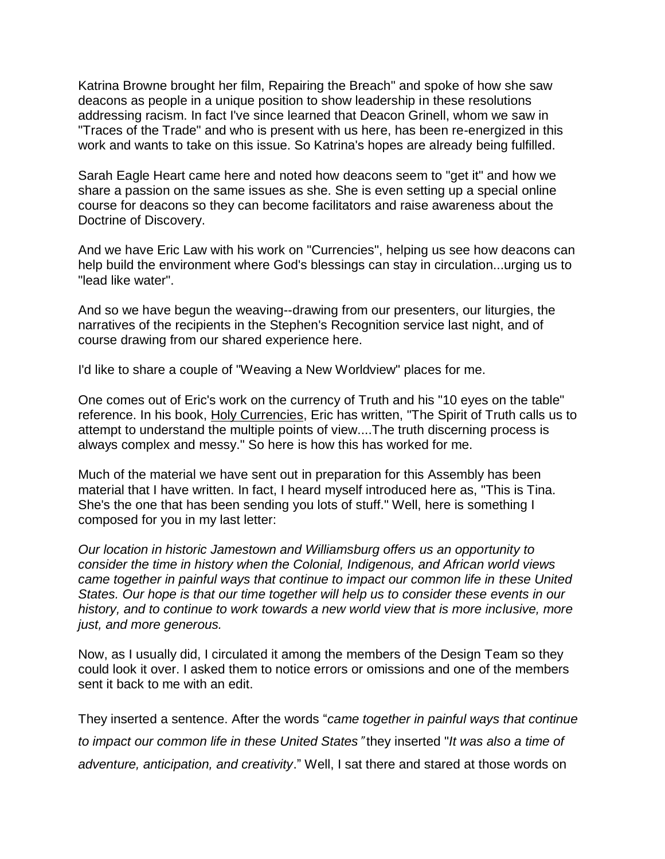Katrina Browne brought her film, Repairing the Breach" and spoke of how she saw deacons as people in a unique position to show leadership in these resolutions addressing racism. In fact I've since learned that Deacon Grinell, whom we saw in "Traces of the Trade" and who is present with us here, has been re-energized in this work and wants to take on this issue. So Katrina's hopes are already being fulfilled.

Sarah Eagle Heart came here and noted how deacons seem to "get it" and how we share a passion on the same issues as she. She is even setting up a special online course for deacons so they can become facilitators and raise awareness about the Doctrine of Discovery.

And we have Eric Law with his work on "Currencies", helping us see how deacons can help build the environment where God's blessings can stay in circulation...urging us to "lead like water".

And so we have begun the weaving--drawing from our presenters, our liturgies, the narratives of the recipients in the Stephen's Recognition service last night, and of course drawing from our shared experience here.

I'd like to share a couple of "Weaving a New Worldview" places for me.

One comes out of Eric's work on the currency of Truth and his "10 eyes on the table" reference. In his book, Holy Currencies, Eric has written, "The Spirit of Truth calls us to attempt to understand the multiple points of view....The truth discerning process is always complex and messy." So here is how this has worked for me.

Much of the material we have sent out in preparation for this Assembly has been material that I have written. In fact, I heard myself introduced here as, "This is Tina. She's the one that has been sending you lots of stuff." Well, here is something I composed for you in my last letter:

*Our location in historic Jamestown and Williamsburg offers us an opportunity to consider the time in history when the Colonial, Indigenous, and African world views came together in painful ways that continue to impact our common life in these United States. Our hope is that our time together will help us to consider these events in our history, and to continue to work towards a new world view that is more inclusive, more just, and more generous.*

Now, as I usually did, I circulated it among the members of the Design Team so they could look it over. I asked them to notice errors or omissions and one of the members sent it back to me with an edit.

They inserted a sentence. After the words "*came together in painful ways that continue to impact our common life in these United States*" they inserted "*It was also a time of adventure, anticipation, and creativity*." Well, I sat there and stared at those words on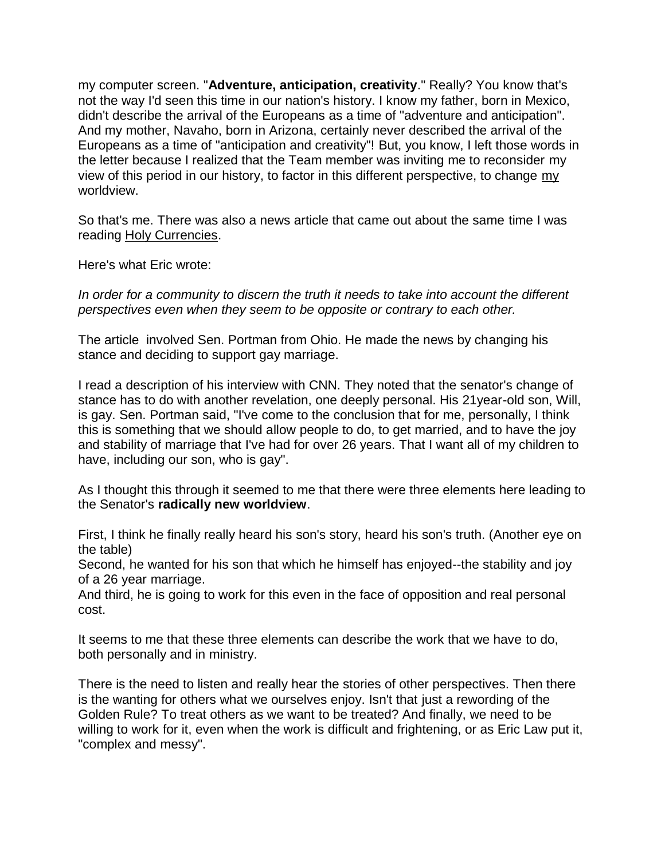my computer screen. "**Adventure, anticipation, creativity**." Really? You know that's not the way I'd seen this time in our nation's history. I know my father, born in Mexico, didn't describe the arrival of the Europeans as a time of "adventure and anticipation". And my mother, Navaho, born in Arizona, certainly never described the arrival of the Europeans as a time of "anticipation and creativity"! But, you know, I left those words in the letter because I realized that the Team member was inviting me to reconsider my view of this period in our history, to factor in this different perspective, to change my worldview.

So that's me. There was also a news article that came out about the same time I was reading Holy Currencies.

Here's what Eric wrote:

*In order for a community to discern the truth it needs to take into account the different perspectives even when they seem to be opposite or contrary to each other.*

The article involved Sen. Portman from Ohio. He made the news by changing his stance and deciding to support gay marriage.

I read a description of his interview with CNN. They noted that the senator's change of stance has to do with another revelation, one deeply personal. His 21year-old son, Will, is gay. Sen. Portman said, "I've come to the conclusion that for me, personally, I think this is something that we should allow people to do, to get married, and to have the joy and stability of marriage that I've had for over 26 years. That I want all of my children to have, including our son, who is gay".

As I thought this through it seemed to me that there were three elements here leading to the Senator's **radically new worldview**.

First, I think he finally really heard his son's story, heard his son's truth. (Another eye on the table)

Second, he wanted for his son that which he himself has enjoyed--the stability and joy of a 26 year marriage.

And third, he is going to work for this even in the face of opposition and real personal cost.

It seems to me that these three elements can describe the work that we have to do, both personally and in ministry.

There is the need to listen and really hear the stories of other perspectives. Then there is the wanting for others what we ourselves enjoy. Isn't that just a rewording of the Golden Rule? To treat others as we want to be treated? And finally, we need to be willing to work for it, even when the work is difficult and frightening, or as Eric Law put it, "complex and messy".